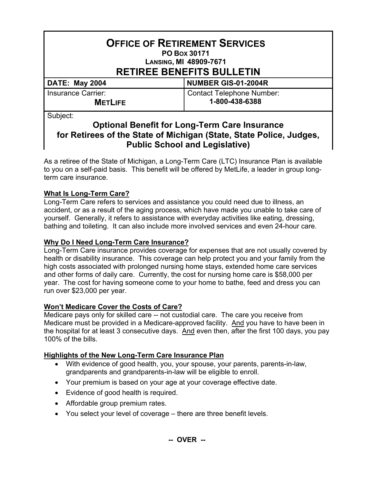| <b>OFFICE OF RETIREMENT SERVICES</b><br>PO Box 30171<br><b>LANSING, MI 48909-7671</b><br><b>RETIREE BENEFITS BULLETIN</b>                        |                                                    |
|--------------------------------------------------------------------------------------------------------------------------------------------------|----------------------------------------------------|
| <b>DATE: May 2004</b>                                                                                                                            | NUMBER GIS-01-2004R                                |
| <b>Insurance Carrier:</b><br><b>METLIFE</b>                                                                                                      | <b>Contact Telephone Number:</b><br>1-800-438-6388 |
| Subject:<br><b>Optional Benefit for Long-Term Care Insurance</b><br>for Retirees of the State of Michigan (State, State Police,<br><b>Ludage</b> |                                                    |

#### **for Retirees of the State of Michigan (State, State Police, Judges, Public School and Legislative)**

As a retiree of the State of Michigan, a Long-Term Care (LTC) Insurance Plan is available to you on a self-paid basis. This benefit will be offered by MetLife, a leader in group longterm care insurance.

# **What Is Long-Term Care?**

Long-Term Care refers to services and assistance you could need due to illness, an accident, or as a result of the aging process, which have made you unable to take care of yourself. Generally, it refers to assistance with everyday activities like eating, dressing, bathing and toileting. It can also include more involved services and even 24-hour care.

## **Why Do I Need Long-Term Care Insurance?**

Long-Term Care insurance provides coverage for expenses that are not usually covered by health or disability insurance. This coverage can help protect you and your family from the high costs associated with prolonged nursing home stays, extended home care services and other forms of daily care. Currently, the cost for nursing home care is \$58,000 per year. The cost for having someone come to your home to bathe, feed and dress you can run over \$23,000 per year.

### **Won't Medicare Cover the Costs of Care?**

Medicare pays only for skilled care -- not custodial care. The care you receive from Medicare must be provided in a Medicare-approved facility. And you have to have been in the hospital for at least 3 consecutive days. And even then, after the first 100 days, you pay 100% of the bills.

### **Highlights of the New Long-Term Care Insurance Plan**

- With evidence of good health, you, your spouse, your parents, parents-in-law, grandparents and grandparents-in-law will be eligible to enroll.
- Your premium is based on your age at your coverage effective date.
- Evidence of good health is required.
- Affordable group premium rates.
- You select your level of coverage there are three benefit levels.